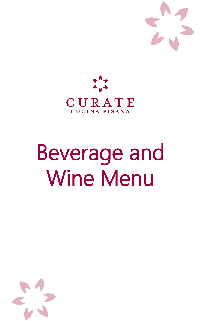



# Beverage and Wine Menu

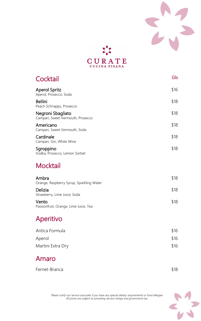



| Cocktail                                               | Gls  |
|--------------------------------------------------------|------|
| <b>Aperol Spritz</b><br>Aperol, Prosecco, Soda         | \$16 |
| <b>Bellini</b><br>Peach Schnapps, Prosecco             | \$18 |
| Negroni Sbagliato<br>Campari, Sweet Vermouth, Prosecco | \$18 |
| Americano<br>Campari, Sweet Vermouth, Soda             | \$18 |
| Cardinale<br>Campari, Gin, White Wine                  | \$18 |
| Sgroppino<br>Vodka, Prosecco, Lemon Sorbet             | \$18 |

#### **Mocktail**

| Ambra<br>Orange, Raspberry Syrup, Sparkling Water | \$18 |
|---------------------------------------------------|------|
| Delizia<br>Strawberry, Lime Juice, Soda           | \$18 |
| Vento                                             | \$18 |

Vento Passionfruit, Orange, Lime Juice, Tea

## Aperitivo

| Antica Formula    | \$16 |
|-------------------|------|
| Aperol            | \$16 |
| Martini Extra Dry | \$16 |

#### Amaro

Fernet-Branca \$18

Please notify our service associate if you have any special dietary requirements or food allergies All prices are subject to prevailing service charge and government tax.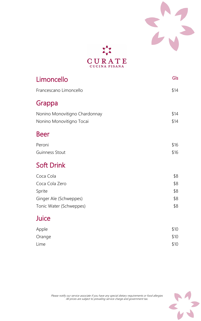



| Limoncello                    | Gls  |
|-------------------------------|------|
| Francescano Limoncello        | \$14 |
| Grappa                        |      |
| Nonino Monovitigno Chardonnay | \$14 |
| Nonino Monovitigno Tocai      | \$14 |
| <b>Beer</b>                   |      |
| Peroni                        | \$16 |
| <b>Guinness Stout</b>         | \$16 |
| <b>Soft Drink</b>             |      |
| Coca Cola                     | \$8  |
| Coca Cola Zero                | \$8  |
| Sprite                        | \$8  |
| Ginger Ale (Schweppes)        | \$8  |

## Tonic Water (Schweppes)  $$8$

### Juice

| Apple  | \$10 |
|--------|------|
| Orange | \$10 |
| Lime   | \$10 |

Please notify our service associate if you have any special dietary requirements or food allergies All prices are subject to prevailing service charge and government tax.

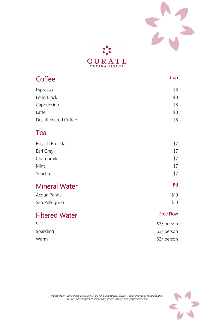



| Coffee               | Cup        |
|----------------------|------------|
| Espresso             | \$8        |
| Long Black           | \$8        |
| Cappuccino           | \$8        |
| Latte                | \$8        |
| Decaffeinated Coffee | \$8        |
| Tea                  |            |
| English Breakfast    | \$7        |
| Earl Grey            | \$7        |
| Chamomile            | \$7        |
| Mint                 | \$7        |
| Sencha               | \$7        |
| <b>Mineral Water</b> | <b>Btl</b> |
| Acqua Panna          | \$10       |

San Pellegrino  $$10$ 

## Filtered Water Free Flow

Still \$3/ person Sparkling \$3/ person

Warm \$3/ person

Please notify our service associate if you have any special dietary requirements or food allergies All prices are subject to prevailing service charge and government tax.

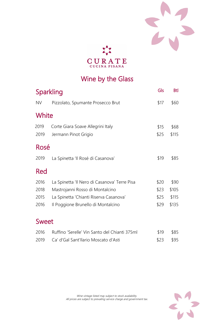



## Wine by the Glass

|              | Sparkling                                                 |              | <b>Btl</b>    |
|--------------|-----------------------------------------------------------|--------------|---------------|
| <b>NV</b>    | Pizzolato, Spumante Prosecco Brut                         | \$17         | \$60          |
| White        |                                                           |              |               |
| 2019<br>2019 | Corte Giara Soave Allegrini Italy<br>Jermann Pinot Grigio | \$15<br>\$25 | \$68<br>\$115 |
| Rosé         |                                                           |              |               |
| 2019         | La Spinetta 'Il Rosé di Casanova'                         | \$19         | \$85          |
| Red          |                                                           |              |               |
| 2016         | La Spinetta 'Il Nero di Casanova' Terre Pisa              | \$20         | \$90          |
| 2018         | Mastrojanni Rosso di Montalcino                           | \$23         | \$105         |
| 2015         | La Spinetta 'Chianti Riserva Casanova'                    | \$25         | \$115         |

|       | 2016 Il Poggione Brunello di Montalcino | $$29$ \$135 |
|-------|-----------------------------------------|-------------|
| Sweet |                                         |             |

2016 Ruffino 'Serelle' Vin Santo del Chianti 375ml \$19 \$85

2019 Ca' d'Gal Sant'Ilario Moscato d'Asti  $$23$  \$95

Wine vintage listed may subject to stock availability.



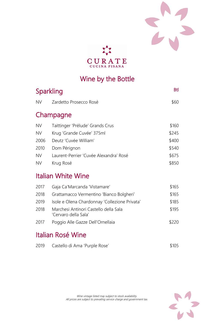



## Wine by the Bottle

| Sparkling |                                        | <b>Btl</b> |
|-----------|----------------------------------------|------------|
| <b>NV</b> | Zardetto Prosecco Rosé                 | \$60       |
|           | Champagne                              |            |
| <b>NV</b> | Taittinger 'Prélude' Grands Crus       | \$160      |
| <b>NV</b> | Krug 'Grande Cuvée' 375ml              | \$245      |
| 2006      | Deutz 'Cuvée William'                  | \$400      |
| 2010      | Dom Pérignon                           | \$540      |
| <b>NV</b> | Laurent-Perrier 'Cuvée Alexandra' Rosé | \$675      |
| <b>NV</b> | Krug Rosé                              | \$850      |
|           | Italian White Wine                     |            |

## Italian White Wine

| 2017              | Gaja Ca'Marcanda 'Vistamare'                                  | \$165 |
|-------------------|---------------------------------------------------------------|-------|
| 2018              | Grattamacco Vermentino 'Bianco Bolgheri'                      | \$165 |
| 2019              | Isole e Olena Chardonnay 'Collezione Privata'                 | \$185 |
| 2018              | Marchesi Antinori Castello della Sala<br>'Cervaro della Sala' | \$195 |
| 2017              | Poggio Alle Gazze Dell'Ornellaia                              | \$220 |
| Italian Rosé Wine |                                                               |       |
| 2019              | Castello di Ama 'Purple Rose'                                 |       |

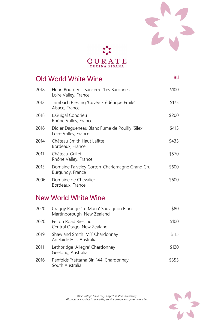



|      | Old World White Wine                                                   | <b>Btl</b> |
|------|------------------------------------------------------------------------|------------|
| 2018 | Henri Bourgeois Sancerre 'Les Baronnes'<br>Loire Valley, France        | \$100      |
| 2012 | Trimbach Riesling 'Cuvée Frédérique Émile'<br>Alsace, France           | \$175      |
| 2018 | <b>E.Guigal Condrieu</b><br>Rhône Valley, France                       | \$200      |
| 2016 | Didier Dagueneau Blanc Fumé de Pouilly 'Silex'<br>Loire Valley, France | \$415      |
| 2014 | Château Smith Haut Lafitte<br>Bordeaux, France                         | \$435      |
| 2011 | Château-Grillet<br>Rhône Valley, France                                | \$570      |
| 2013 | Domaine Faiveley Corton-Charlemagne Grand Cru<br>Burgundy, France      | \$600      |
| 2006 | Domaine de Chevalier<br>Bordeaux, France                               | \$600      |

#### New World White Wine

| 2020 | Craggy Range 'Te Muna' Sauvignon Blanc<br>Martinborough, New Zealand | \$80  |
|------|----------------------------------------------------------------------|-------|
| 2020 | Felton Road Riesling<br>Central Otago, New Zealand                   | \$100 |
| 2019 | Shaw and Smith 'M3' Chardonnay<br>Adelaide Hills Australia           | \$115 |
| 2011 | Lethbridge 'Allegra' Chardonnay<br>Geelong, Australia                | \$120 |
| 2016 | Penfolds 'Yattarna Bin 144' Chardonnay<br>South Australia            | \$355 |

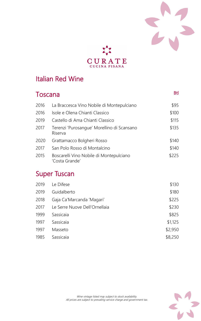



### Italian Red Wine

| <b>Toscana</b> |                                                           | <b>Btl</b> |
|----------------|-----------------------------------------------------------|------------|
| 2016           | La Braccesca Vino Nobile di Montepulciano                 | \$95       |
| 2016           | Isole e Olena Chianti Classico                            | \$100      |
| 2019           | Castello di Ama Chianti Classico                          | \$115      |
| 2017           | Terenzi 'Purosangue' Morellino di Scansano<br>Riserva     | \$135      |
| 2020           | Grattamacco Bolgheri Rosso                                | \$140      |
| 2017           | San Polo Rosso di Montalcino                              | \$140      |
| 2015           | Boscarelli Vino Nobile di Montepulciano<br>'Costa Grande' | \$225      |

| 2019 | Le Difese                     | \$130   |
|------|-------------------------------|---------|
| 2019 | Guidalberto                   | \$180   |
| 2018 | Gaja Ca'Marcanda 'Magari'     | \$225   |
| 2017 | Le Serre Nuove Dell'Ornellaia | \$230   |
| 1999 | Sassicaia                     | \$825   |
| 1997 | Sassicaia                     | \$1,125 |
| 1997 | Masseto                       | \$2,950 |
| 1985 | Sassicaia                     | \$8,250 |

## Super Tuscan

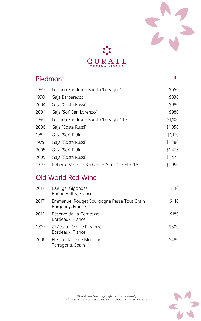



| Piedmont                                      |         |
|-----------------------------------------------|---------|
| Luciano Sandrone Barolo 'Le Vigne'            | \$650   |
| Gaja Barbaresco                               | \$830   |
| Gaja 'Costa Russi'                            | \$980   |
| Gaja 'Sorì San Lorenzo'                       | \$980   |
| Luciano Sandrone Barolo 'Le Vigne' 1.5L       | \$1,100 |
| Gaja 'Costa Russi'                            | \$1,050 |
| Gaja 'Sorì Tildìn'                            | \$1,170 |
| Gaja 'Costa Russi'                            | \$1,380 |
| Gaja 'Sorì Tildìn'                            | \$1,475 |
| Gaja 'Costa Russi'                            | \$1,475 |
| Roberto Voerzio Barbera d'Alba 'Cerreto' 1.5L | \$1,950 |
|                                               |         |

## Old World Red Wine

| 2017 | <b>E.Guigal Gigondas</b><br>Rhône Valley, France               | \$110 |
|------|----------------------------------------------------------------|-------|
| 2017 | Emmanuel Rouget Bourgogne Passe Tout Grain<br>Burgundy, France | \$140 |
| 2013 | Réserve de La Comtesse<br>Bordeaux, France                     | \$180 |
| 1999 | Château Léoville Poyferré<br>Bordeaux, France                  | \$300 |
| 2006 | El Espectacle de Montsant<br>Tarragona, Spain                  | \$480 |